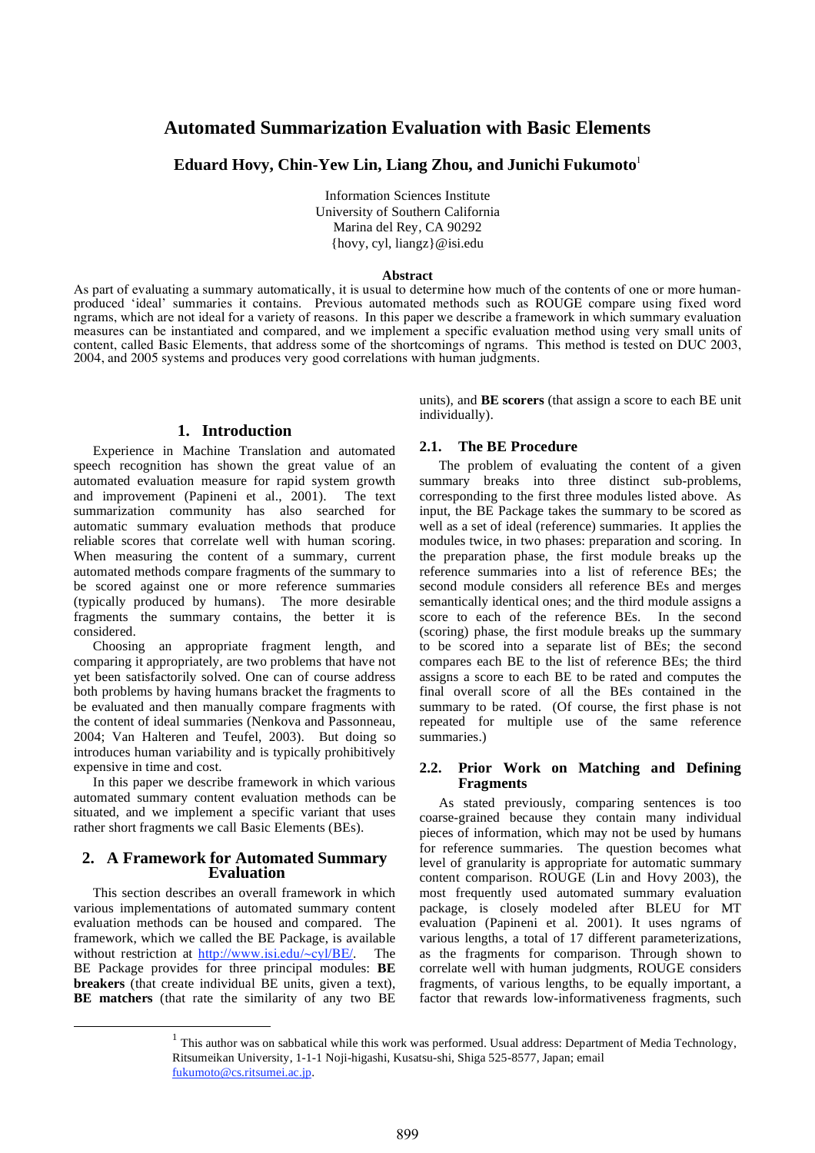# **Automated Summarization Evaluation with Basic Elements**

**Eduard Hovy, Chin-Yew Lin, Liang Zhou, and Junichi Fukumoto**<sup>1</sup>

Information Sciences Institute University of Southern California Marina del Rey, CA 90292 {hovy, cyl, liangz}@isi.edu

#### **Abstract**

As part of evaluating a summary automatically, it is usual to determine how much of the contents of one or more humanproduced 'ideal' summaries it contains. Previous automated methods such as ROUGE compare using fixed word ngrams, which are not ideal for a variety of reasons. In this paper we describe a framework in which summary evaluation measures can be instantiated and compared, and we implement a specific evaluation method using very small units of content, called Basic Elements, that address some of the shortcomings of ngrams. This method is tested on DUC 2003, 2004, and 2005 systems and produces very good correlations with human judgments.

# **1. Introduction**

Experience in Machine Translation and automated speech recognition has shown the great value of an automated evaluation measure for rapid system growth and improvement (Papineni et al., 2001). The text summarization community has also searched for automatic summary evaluation methods that produce reliable scores that correlate well with human scoring. When measuring the content of a summary, current automated methods compare fragments of the summary to be scored against one or more reference summaries (typically produced by humans). The more desirable fragments the summary contains, the better it is considered.

Choosing an appropriate fragment length, and comparing it appropriately, are two problems that have not yet been satisfactorily solved. One can of course address both problems by having humans bracket the fragments to be evaluated and then manually compare fragments with the content of ideal summaries (Nenkova and Passonneau, 2004; Van Halteren and Teufel, 2003). But doing so introduces human variability and is typically prohibitively expensive in time and cost.

In this paper we describe framework in which various automated summary content evaluation methods can be situated, and we implement a specific variant that uses rather short fragments we call Basic Elements (BEs).

# **2. A Framework for Automated Summary Evaluation**

This section describes an overall framework in which various implementations of automated summary content evaluation methods can be housed and compared. The framework, which we called the BE Package, is available without restriction at http://www.isi.edu/~cyl/BE/. The BE Package provides for three principal modules: **BE breakers** (that create individual BE units, given a text), **BE matchers** (that rate the similarity of any two BE units), and **BE scorers** (that assign a score to each BE unit individually).

# **2.1. The BE Procedure**

The problem of evaluating the content of a given summary breaks into three distinct sub-problems, corresponding to the first three modules listed above. As input, the BE Package takes the summary to be scored as well as a set of ideal (reference) summaries. It applies the modules twice, in two phases: preparation and scoring. In the preparation phase, the first module breaks up the reference summaries into a list of reference BEs; the second module considers all reference BEs and merges semantically identical ones; and the third module assigns a score to each of the reference BEs. In the second (scoring) phase, the first module breaks up the summary to be scored into a separate list of BEs; the second compares each BE to the list of reference BEs; the third assigns a score to each BE to be rated and computes the final overall score of all the BEs contained in the summary to be rated. (Of course, the first phase is not repeated for multiple use of the same reference summaries.)

## **2.2. Prior Work on Matching and Defining Fragments**

As stated previously, comparing sentences is too coarse-grained because they contain many individual pieces of information, which may not be used by humans for reference summaries. The question becomes what level of granularity is appropriate for automatic summary content comparison. ROUGE (Lin and Hovy 2003), the most frequently used automated summary evaluation package, is closely modeled after BLEU for MT evaluation (Papineni et al. 2001). It uses ngrams of various lengths, a total of 17 different parameterizations, as the fragments for comparison. Through shown to correlate well with human judgments, ROUGE considers fragments, of various lengths, to be equally important, a factor that rewards low-informativeness fragments, such

 $1$  This author was on sabbatical while this work was performed. Usual address: Department of Media Technology, Ritsumeikan University, 1-1-1 Noji-higashi, Kusatsu-shi, Shiga 525-8577, Japan; email fukumoto@cs.ritsumei.ac.jp.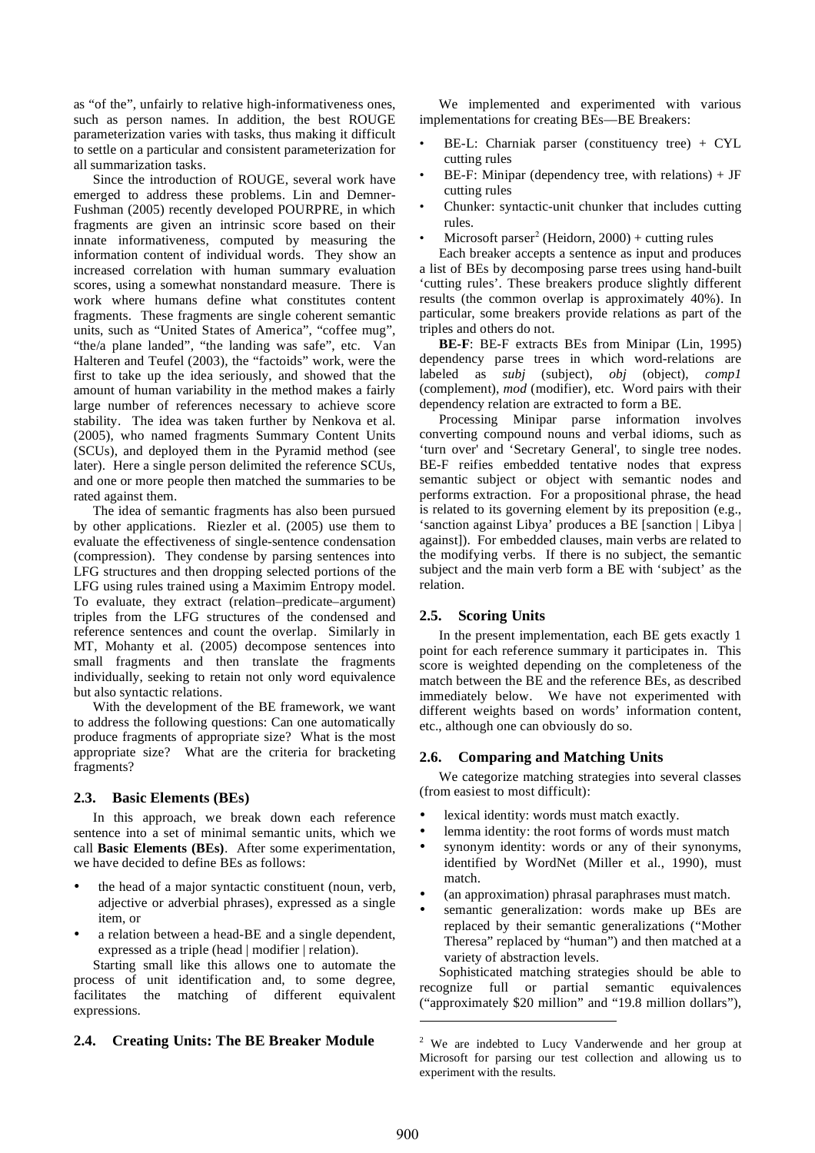as "of the", unfairly to relative high-informativeness ones, such as person names. In addition, the best ROUGE parameterization varies with tasks, thus making it difficult to settle on a particular and consistent parameterization for all summarization tasks.

Since the introduction of ROUGE, several work have emerged to address these problems. Lin and Demner-Fushman (2005) recently developed POURPRE, in which fragments are given an intrinsic score based on their innate informativeness, computed by measuring the information content of individual words. They show an increased correlation with human summary evaluation scores, using a somewhat nonstandard measure. There is work where humans define what constitutes content fragments. These fragments are single coherent semantic units, such as "United States of America", "coffee mug", "the/a plane landed", "the landing was safe", etc. Van Halteren and Teufel (2003), the "factoids" work, were the first to take up the idea seriously, and showed that the amount of human variability in the method makes a fairly large number of references necessary to achieve score stability. The idea was taken further by Nenkova et al. (2005), who named fragments Summary Content Units (SCUs), and deployed them in the Pyramid method (see later). Here a single person delimited the reference SCUs, and one or more people then matched the summaries to be rated against them.

The idea of semantic fragments has also been pursued by other applications. Riezler et al. (2005) use them to evaluate the effectiveness of single-sentence condensation (compression). They condense by parsing sentences into LFG structures and then dropping selected portions of the LFG using rules trained using a Maximim Entropy model. To evaluate, they extract (relation–predicate–argument) triples from the LFG structures of the condensed and reference sentences and count the overlap. Similarly in MT, Mohanty et al. (2005) decompose sentences into small fragments and then translate the fragments individually, seeking to retain not only word equivalence but also syntactic relations.

With the development of the BE framework, we want to address the following questions: Can one automatically produce fragments of appropriate size? What is the most appropriate size? What are the criteria for bracketing fragments?

## **2.3. Basic Elements (BEs)**

In this approach, we break down each reference sentence into a set of minimal semantic units, which we call **Basic Elements (BEs)**. After some experimentation, we have decided to define BEs as follows:

- the head of a major syntactic constituent (noun, verb, adjective or adverbial phrases), expressed as a single item, or
- a relation between a head-BE and a single dependent, expressed as a triple (head | modifier | relation).

Starting small like this allows one to automate the process of unit identification and, to some degree, facilitates the matching of different equivalent expressions.

# **2.4. Creating Units: The BE Breaker Module**

We implemented and experimented with various implementations for creating BEs—BE Breakers:

- BE-L: Charniak parser (constituency tree) + CYL cutting rules
- BE-F: Minipar (dependency tree, with relations)  $+$  JF cutting rules
- Chunker: syntactic-unit chunker that includes cutting rules.
- Microsoft parser<sup>2</sup> (Heidorn, 2000) + cutting rules

Each breaker accepts a sentence as input and produces a list of BEs by decomposing parse trees using hand-built 'cutting rules'. These breakers produce slightly different results (the common overlap is approximately 40%). In particular, some breakers provide relations as part of the triples and others do not.

**BE-F**: BE-F extracts BEs from Minipar (Lin, 1995) dependency parse trees in which word-relations are labeled as *subj* (subject), *obj* (object), *comp1* (complement), *mod* (modifier), etc. Word pairs with their dependency relation are extracted to form a BE.

Processing Minipar parse information involves converting compound nouns and verbal idioms, such as 'turn over' and 'Secretary General', to single tree nodes. BE-F reifies embedded tentative nodes that express semantic subject or object with semantic nodes and performs extraction. For a propositional phrase, the head is related to its governing element by its preposition (e.g., 'sanction against Libya' produces a BE [sanction | Libya | against]). For embedded clauses, main verbs are related to the modifying verbs. If there is no subject, the semantic subject and the main verb form a BE with 'subject' as the relation.

#### **2.5. Scoring Units**

In the present implementation, each BE gets exactly 1 point for each reference summary it participates in. This score is weighted depending on the completeness of the match between the BE and the reference BEs, as described immediately below. We have not experimented with different weights based on words' information content, etc., although one can obviously do so.

## **2.6. Comparing and Matching Units**

We categorize matching strategies into several classes (from easiest to most difficult):

- lexical identity: words must match exactly.
- lemma identity: the root forms of words must match
- synonym identity: words or any of their synonyms, identified by WordNet (Miller et al., 1990), must match.
- (an approximation) phrasal paraphrases must match.
- semantic generalization: words make up BEs are replaced by their semantic generalizations ("Mother Theresa" replaced by "human") and then matched at a variety of abstraction levels.

Sophisticated matching strategies should be able to recognize full or partial semantic equivalences ("approximately \$20 million" and "19.8 million dollars"),

 $2$  We are indebted to Lucy Vanderwende and her group at Microsoft for parsing our test collection and allowing us to experiment with the results.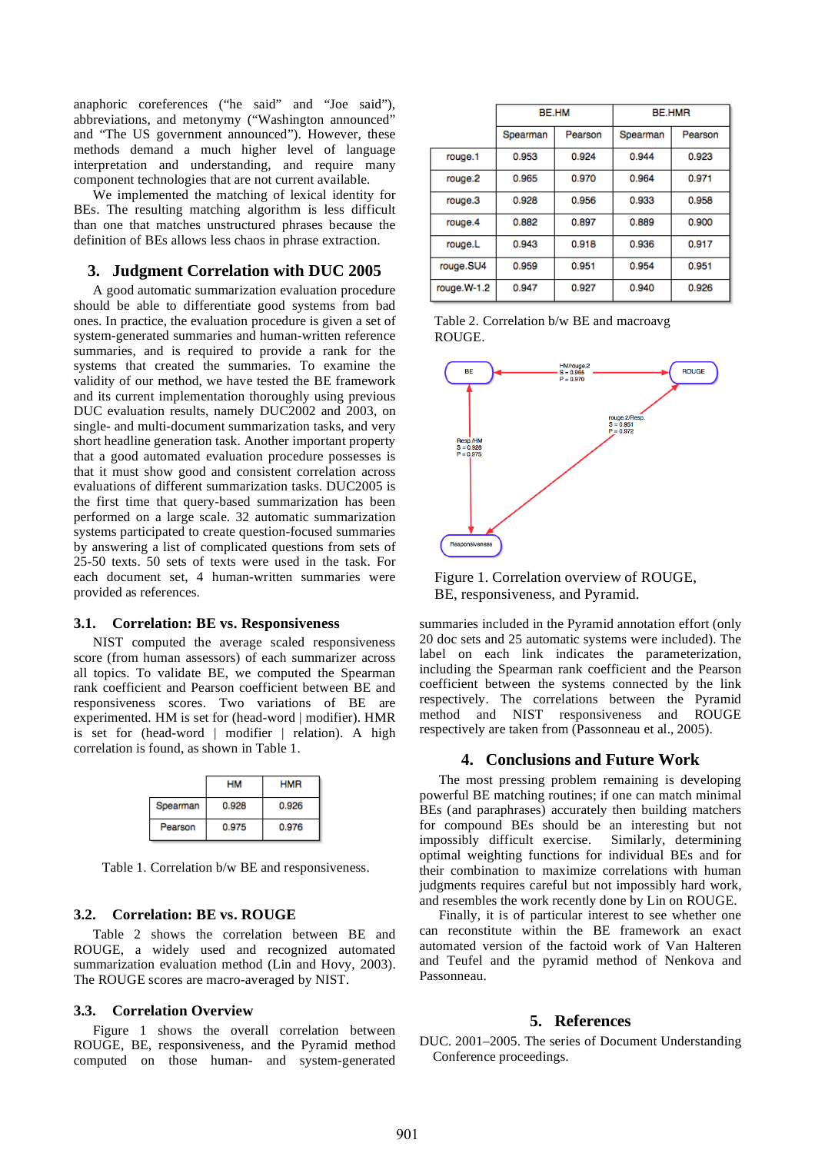anaphoric coreferences ("he said" and "Joe said"), abbreviations, and metonymy ("Washington announced" and "The US government announced"). However, these methods demand a much higher level of language interpretation and understanding, and require many component technologies that are not current available.

We implemented the matching of lexical identity for BEs. The resulting matching algorithm is less difficult than one that matches unstructured phrases because the definition of BEs allows less chaos in phrase extraction.

## **3. Judgment Correlation with DUC 2005**

A good automatic summarization evaluation procedure should be able to differentiate good systems from bad ones. In practice, the evaluation procedure is given a set of system-generated summaries and human-written reference summaries, and is required to provide a rank for the systems that created the summaries. To examine the validity of our method, we have tested the BE framework and its current implementation thoroughly using previous DUC evaluation results, namely DUC2002 and 2003, on single- and multi-document summarization tasks, and very short headline generation task. Another important property that a good automated evaluation procedure possesses is that it must show good and consistent correlation across evaluations of different summarization tasks. DUC2005 is the first time that query-based summarization has been performed on a large scale. 32 automatic summarization systems participated to create question-focused summaries by answering a list of complicated questions from sets of 25-50 texts. 50 sets of texts were used in the task. For each document set, 4 human-written summaries were provided as references.

#### **3.1. Correlation: BE vs. Responsiveness**

NIST computed the average scaled responsiveness score (from human assessors) of each summarizer across all topics. To validate BE, we computed the Spearman rank coefficient and Pearson coefficient between BE and responsiveness scores. Two variations of BE are experimented. HM is set for (head-word | modifier). HMR is set for (head-word | modifier | relation). A high correlation is found, as shown in Table 1.

|          | <b>HM</b> | <b>HMR</b> |
|----------|-----------|------------|
| Spearman | 0.928     | 0.926      |
| Pearson  | 0.975     | 0.976      |

Table 1. Correlation b/w BE and responsiveness.

# **3.2. Correlation: BE vs. ROUGE**

Table 2 shows the correlation between BE and ROUGE, a widely used and recognized automated summarization evaluation method (Lin and Hovy, 2003). The ROUGE scores are macro-averaged by NIST.

## **3.3. Correlation Overview**

Figure 1 shows the overall correlation between ROUGE, BE, responsiveness, and the Pyramid method computed on those human- and system-generated

|             | BE.HM    |         | <b>BE.HMR</b> |         |
|-------------|----------|---------|---------------|---------|
|             | Spearman | Pearson | Spearman      | Pearson |
| rouge.1     | 0.953    | 0.924   | 0.944         | 0.923   |
| rouge.2     | 0.965    | 0.970   | 0.964         | 0.971   |
| rouge.3     | 0.928    | 0.956   | 0.933         | 0.958   |
| rouge.4     | 0.882    | 0.897   | 0.889         | 0.900   |
| rouge.L     | 0.943    | 0.918   | 0.936         | 0.917   |
| rouge.SU4   | 0.959    | 0.951   | 0.954         | 0.951   |
| rouge.W-1.2 | 0.947    | 0.927   | 0.940         | 0.926   |

Table 2. Correlation b/w BE and macroavg ROUGE.



Figure 1. Correlation overview of ROUGE, BE, responsiveness, and Pyramid.

summaries included in the Pyramid annotation effort (only 20 doc sets and 25 automatic systems were included). The label on each link indicates the parameterization, including the Spearman rank coefficient and the Pearson coefficient between the systems connected by the link respectively. The correlations between the Pyramid method and NIST responsiveness and ROUGE respectively are taken from (Passonneau et al., 2005).

#### **4. Conclusions and Future Work**

The most pressing problem remaining is developing powerful BE matching routines; if one can match minimal BEs (and paraphrases) accurately then building matchers for compound BEs should be an interesting but not impossibly difficult exercise. Similarly, determining optimal weighting functions for individual BEs and for their combination to maximize correlations with human judgments requires careful but not impossibly hard work, and resembles the work recently done by Lin on ROUGE.

Finally, it is of particular interest to see whether one can reconstitute within the BE framework an exact automated version of the factoid work of Van Halteren and Teufel and the pyramid method of Nenkova and Passonneau.

#### **5. References**

DUC. 2001–2005. The series of Document Understanding Conference proceedings.